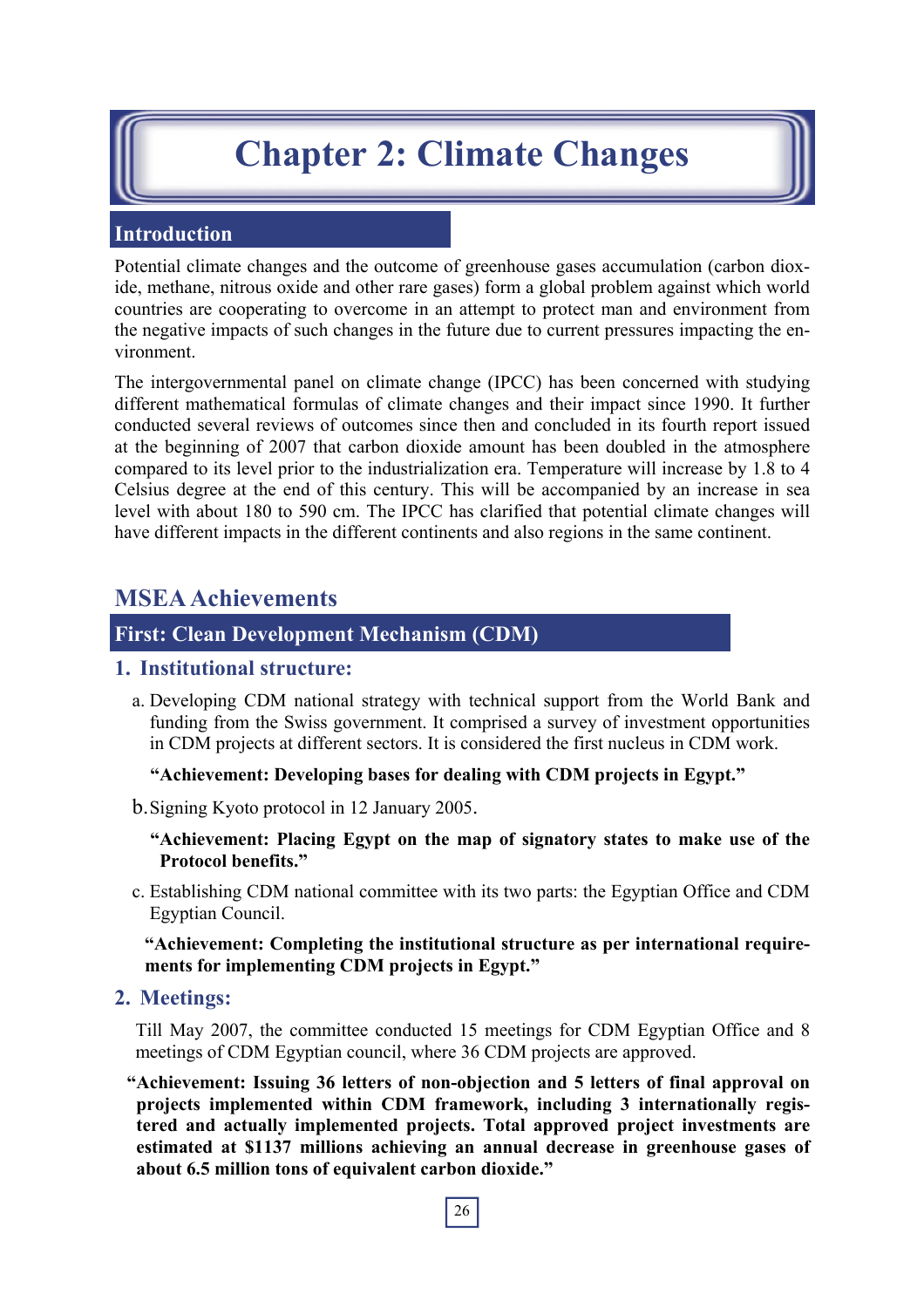# **Chapter 2: Climate Changes**

## **Introduction**

Potential climate changes and the outcome of greenhouse gases accumulation (carbon dioxide, methane, nitrous oxide and other rare gases) form a global problem against which world countries are cooperating to overcome in an attempt to protect man and environment from the negative impacts of such changes in the future due to current pressures impacting the environment.

The intergovernmental panel on climate change (IPCC) has been concerned with studying different mathematical formulas of climate changes and their impact since 1990. It further conducted several reviews of outcomes since then and concluded in its fourth report issued at the beginning of 2007 that carbon dioxide amount has been doubled in the atmosphere compared to its level prior to the industrialization era. Temperature will increase by 1.8 to 4 Celsius degree at the end of this century. This will be accompanied by an increase in sea level with about 180 to 590 cm. The IPCC has clarified that potential climate changes will have different impacts in the different continents and also regions in the same continent.

# **MSEA Achievements**

## **First: Clean Development Mechanism (CDM)**

#### **1. Institutional structure:**

a. Developing CDM national strategy with technical support from the World Bank and funding from the Swiss government. It comprised a survey of investment opportunities in CDM projects at different sectors. It is considered the first nucleus in CDM work.

**"Achievement: Developing bases for dealing with CDM projects in Egypt."** 

b. Signing Kyoto protocol in 12 January 2005.

**"Achievement: Placing Egypt on the map of signatory states to make use of the Protocol benefits."** 

c. Establishing CDM national committee with its two parts: the Egyptian Office and CDM Egyptian Council.

**"Achievement: Completing the institutional structure as per international requirements for implementing CDM projects in Egypt."** 

#### **2. Meetings:**

Till May 2007, the committee conducted 15 meetings for CDM Egyptian Office and 8 meetings of CDM Egyptian council, where 36 CDM projects are approved.

**"Achievement: Issuing 36 letters of non-objection and 5 letters of final approval on projects implemented within CDM framework, including 3 internationally registered and actually implemented projects. Total approved project investments are estimated at \$1137 millions achieving an annual decrease in greenhouse gases of about 6.5 million tons of equivalent carbon dioxide."**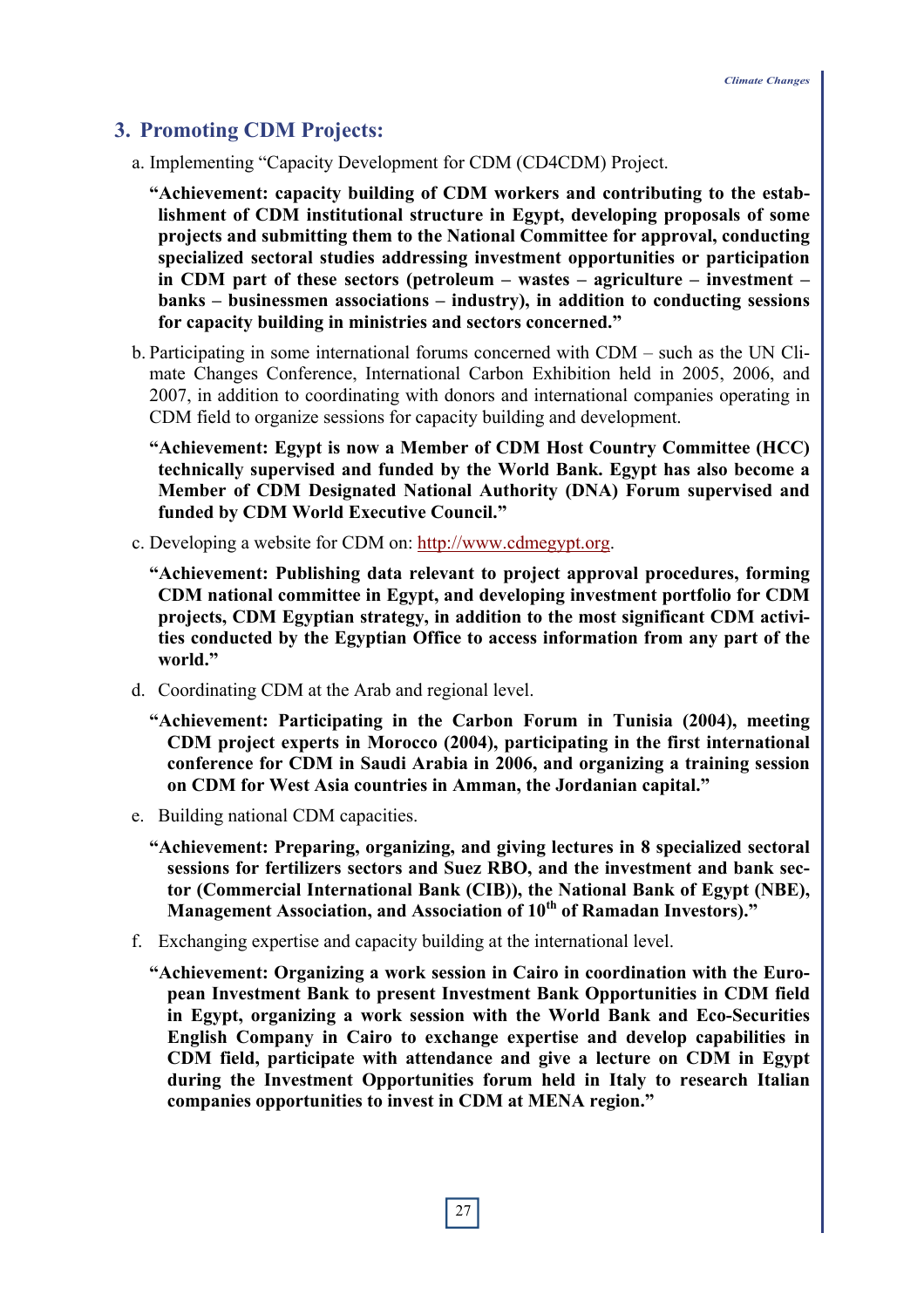## **3. Promoting CDM Projects:**

- a. Implementing "Capacity Development for CDM (CD4CDM) Project.
	- **"Achievement: capacity building of CDM workers and contributing to the establishment of CDM institutional structure in Egypt, developing proposals of some projects and submitting them to the National Committee for approval, conducting specialized sectoral studies addressing investment opportunities or participation in CDM part of these sectors (petroleum – wastes – agriculture – investment – banks – businessmen associations – industry), in addition to conducting sessions for capacity building in ministries and sectors concerned."**
- b. Participating in some international forums concerned with CDM such as the UN Climate Changes Conference, International Carbon Exhibition held in 2005, 2006, and 2007, in addition to coordinating with donors and international companies operating in CDM field to organize sessions for capacity building and development.
	- **"Achievement: Egypt is now a Member of CDM Host Country Committee (HCC) technically supervised and funded by the World Bank. Egypt has also become a Member of CDM Designated National Authority (DNA) Forum supervised and funded by CDM World Executive Council."**
- c. Developing a website for CDM on: http://www.cdmegypt.org.
	- **"Achievement: Publishing data relevant to project approval procedures, forming CDM national committee in Egypt, and developing investment portfolio for CDM projects, CDM Egyptian strategy, in addition to the most significant CDM activities conducted by the Egyptian Office to access information from any part of the world."**
- d. Coordinating CDM at the Arab and regional level.
	- **"Achievement: Participating in the Carbon Forum in Tunisia (2004), meeting CDM project experts in Morocco (2004), participating in the first international conference for CDM in Saudi Arabia in 2006, and organizing a training session on CDM for West Asia countries in Amman, the Jordanian capital."**
- e. Building national CDM capacities.
	- **"Achievement: Preparing, organizing, and giving lectures in 8 specialized sectoral sessions for fertilizers sectors and Suez RBO, and the investment and bank sector (Commercial International Bank (CIB)), the National Bank of Egypt (NBE), Management Association, and Association of 10th of Ramadan Investors)."**
- f. Exchanging expertise and capacity building at the international level.
	- **"Achievement: Organizing a work session in Cairo in coordination with the European Investment Bank to present Investment Bank Opportunities in CDM field in Egypt, organizing a work session with the World Bank and Eco-Securities English Company in Cairo to exchange expertise and develop capabilities in CDM field, participate with attendance and give a lecture on CDM in Egypt during the Investment Opportunities forum held in Italy to research Italian companies opportunities to invest in CDM at MENA region."**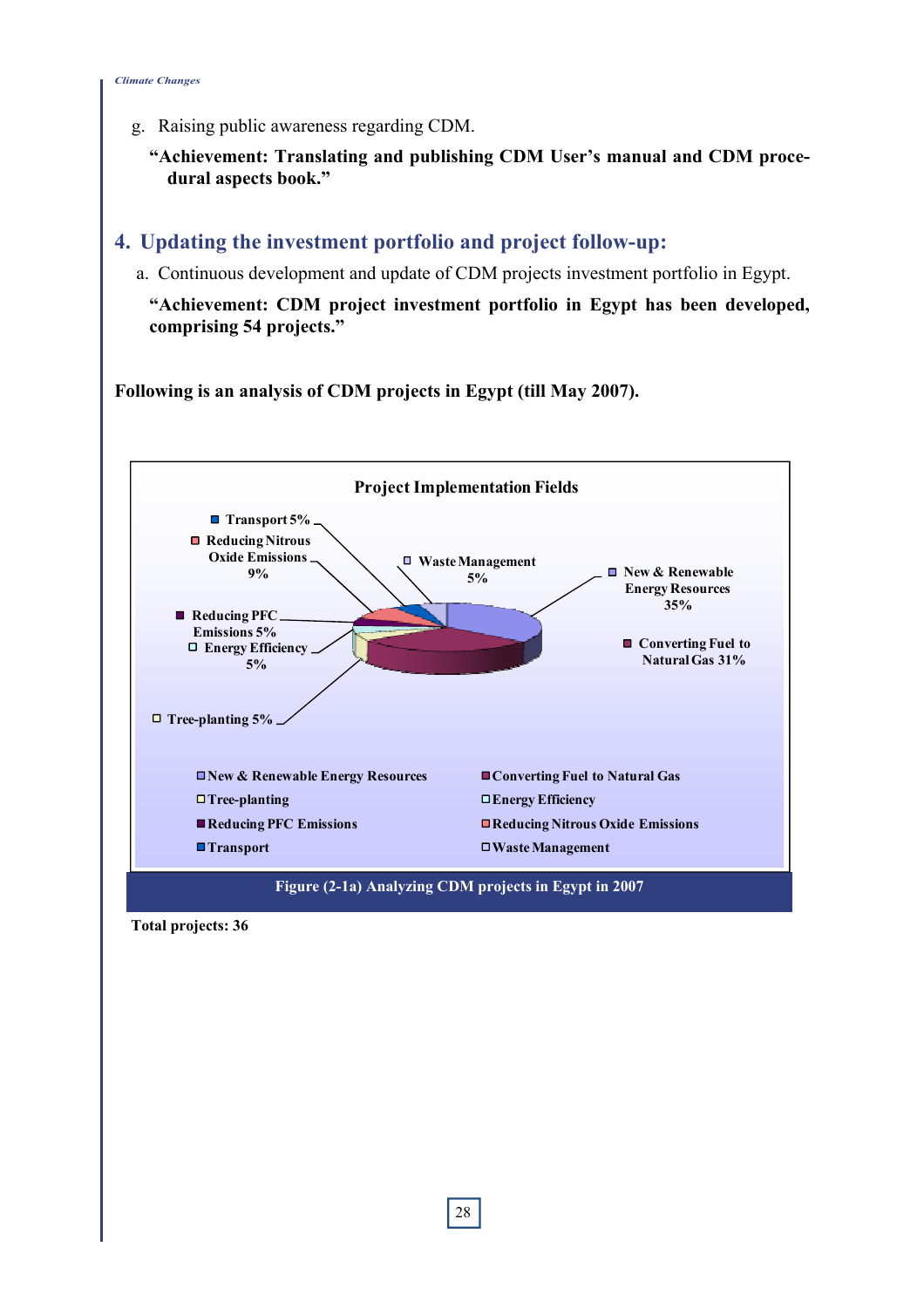g. Raising public awareness regarding CDM.

**"Achievement: Translating and publishing CDM User's manual and CDM procedural aspects book."** 

## **4. Updating the investment portfolio and project follow-up:**

a. Continuous development and update of CDM projects investment portfolio in Egypt.

**"Achievement: CDM project investment portfolio in Egypt has been developed, comprising 54 projects."** 

**Following is an analysis of CDM projects in Egypt (till May 2007).** 



**Total projects: 36**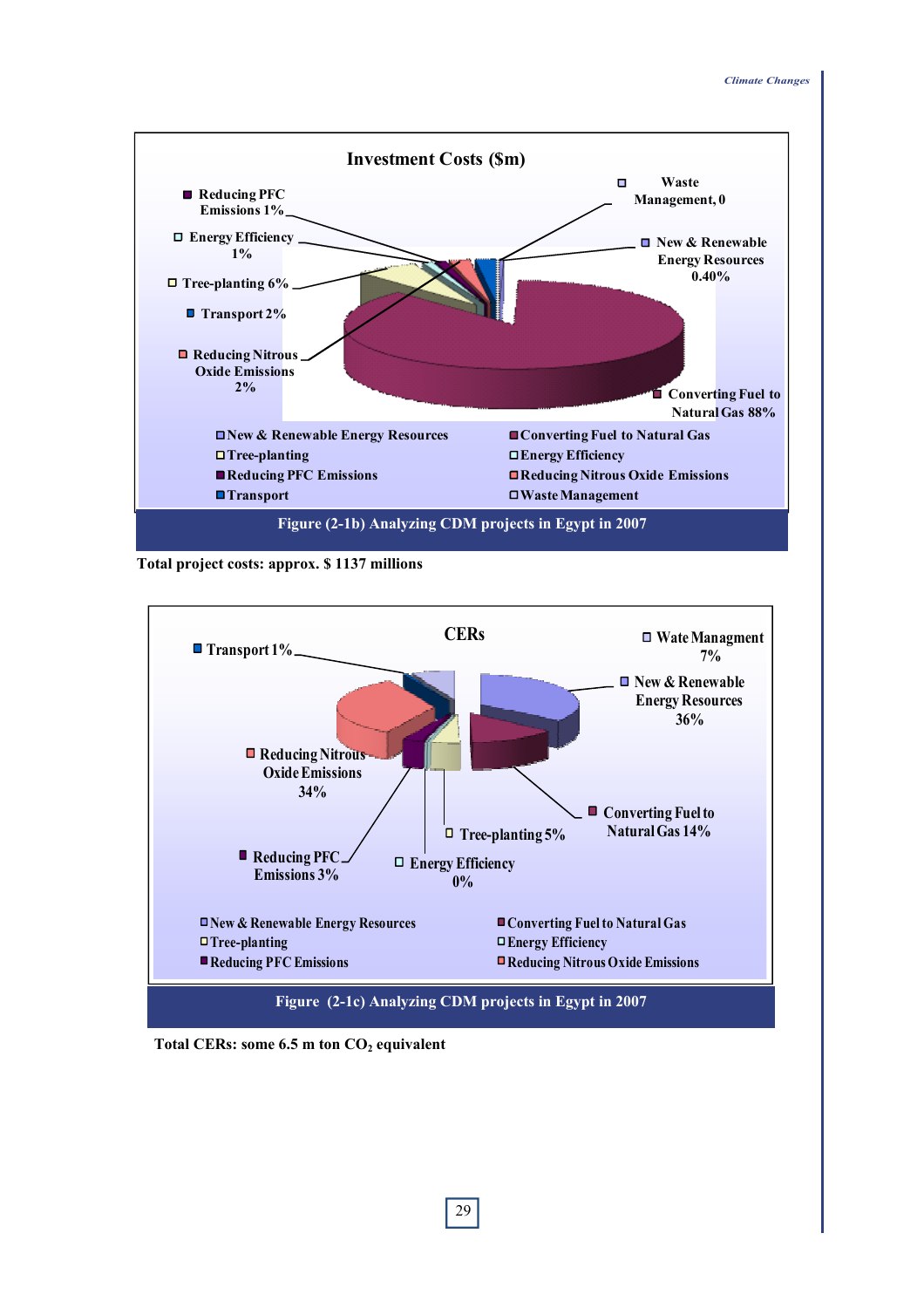

**Total project costs: approx. \$ 1137 millions** 



Total CERs: some 6.5 m ton CO<sub>2</sub> equivalent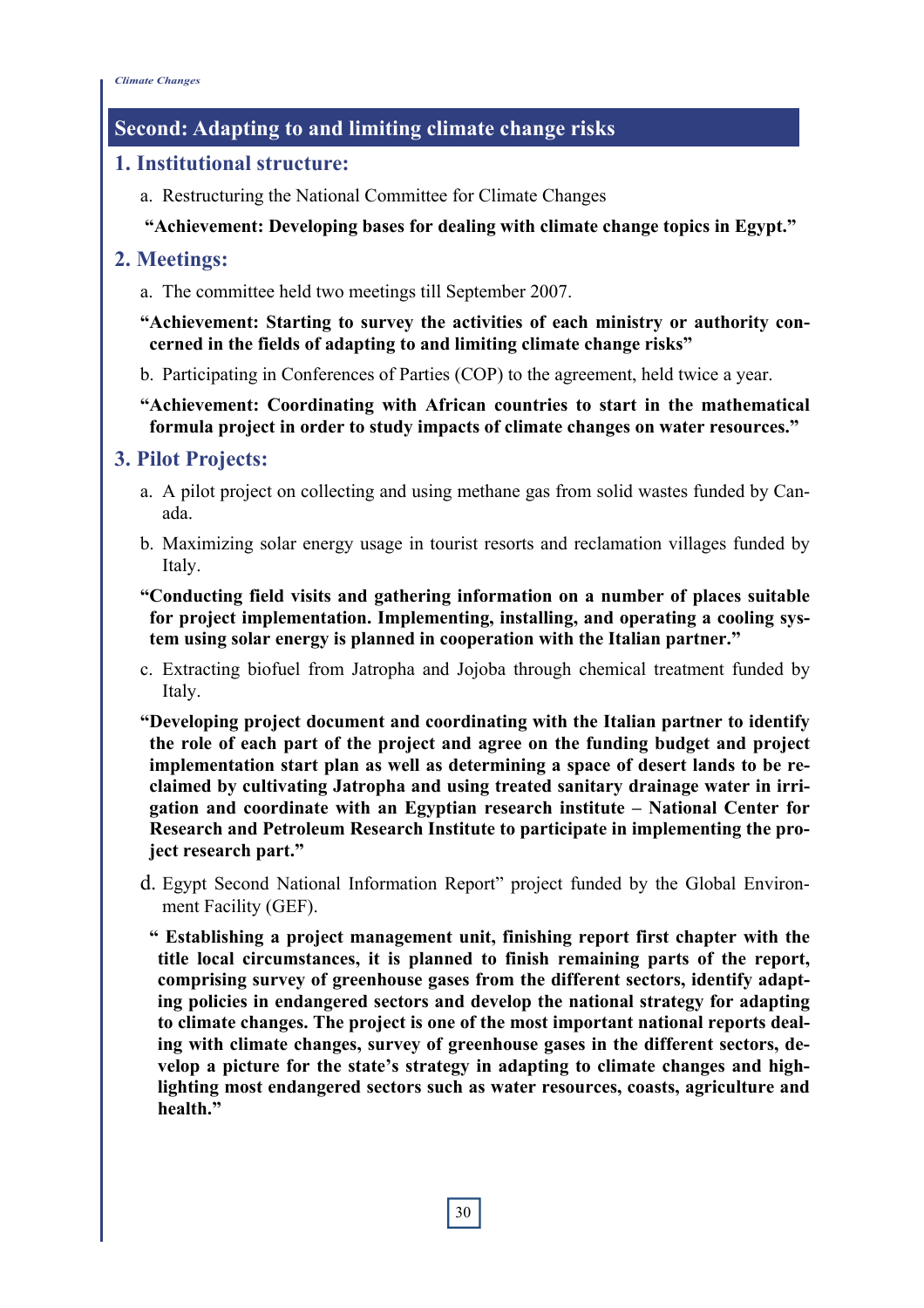# **Second: Adapting to and limiting climate change risks**

## **1. Institutional structure:**

a. Restructuring the National Committee for Climate Changes

## **"Achievement: Developing bases for dealing with climate change topics in Egypt."**

# **2. Meetings:**

a. The committee held two meetings till September 2007.

**"Achievement: Starting to survey the activities of each ministry or authority concerned in the fields of adapting to and limiting climate change risks"** 

b. Participating in Conferences of Parties (COP) to the agreement, held twice a year.

### **"Achievement: Coordinating with African countries to start in the mathematical formula project in order to study impacts of climate changes on water resources."**

# **3. Pilot Projects:**

- a. A pilot project on collecting and using methane gas from solid wastes funded by Canada.
- b. Maximizing solar energy usage in tourist resorts and reclamation villages funded by Italy.
- **"Conducting field visits and gathering information on a number of places suitable for project implementation. Implementing, installing, and operating a cooling system using solar energy is planned in cooperation with the Italian partner."**
- c. Extracting biofuel from Jatropha and Jojoba through chemical treatment funded by Italy.

**"Developing project document and coordinating with the Italian partner to identify the role of each part of the project and agree on the funding budget and project implementation start plan as well as determining a space of desert lands to be reclaimed by cultivating Jatropha and using treated sanitary drainage water in irrigation and coordinate with an Egyptian research institute – National Center for Research and Petroleum Research Institute to participate in implementing the project research part."** 

d. Egypt Second National Information Report" project funded by the Global Environment Facility (GEF).

**" Establishing a project management unit, finishing report first chapter with the title local circumstances, it is planned to finish remaining parts of the report, comprising survey of greenhouse gases from the different sectors, identify adapting policies in endangered sectors and develop the national strategy for adapting to climate changes. The project is one of the most important national reports dealing with climate changes, survey of greenhouse gases in the different sectors, develop a picture for the state's strategy in adapting to climate changes and highlighting most endangered sectors such as water resources, coasts, agriculture and health."**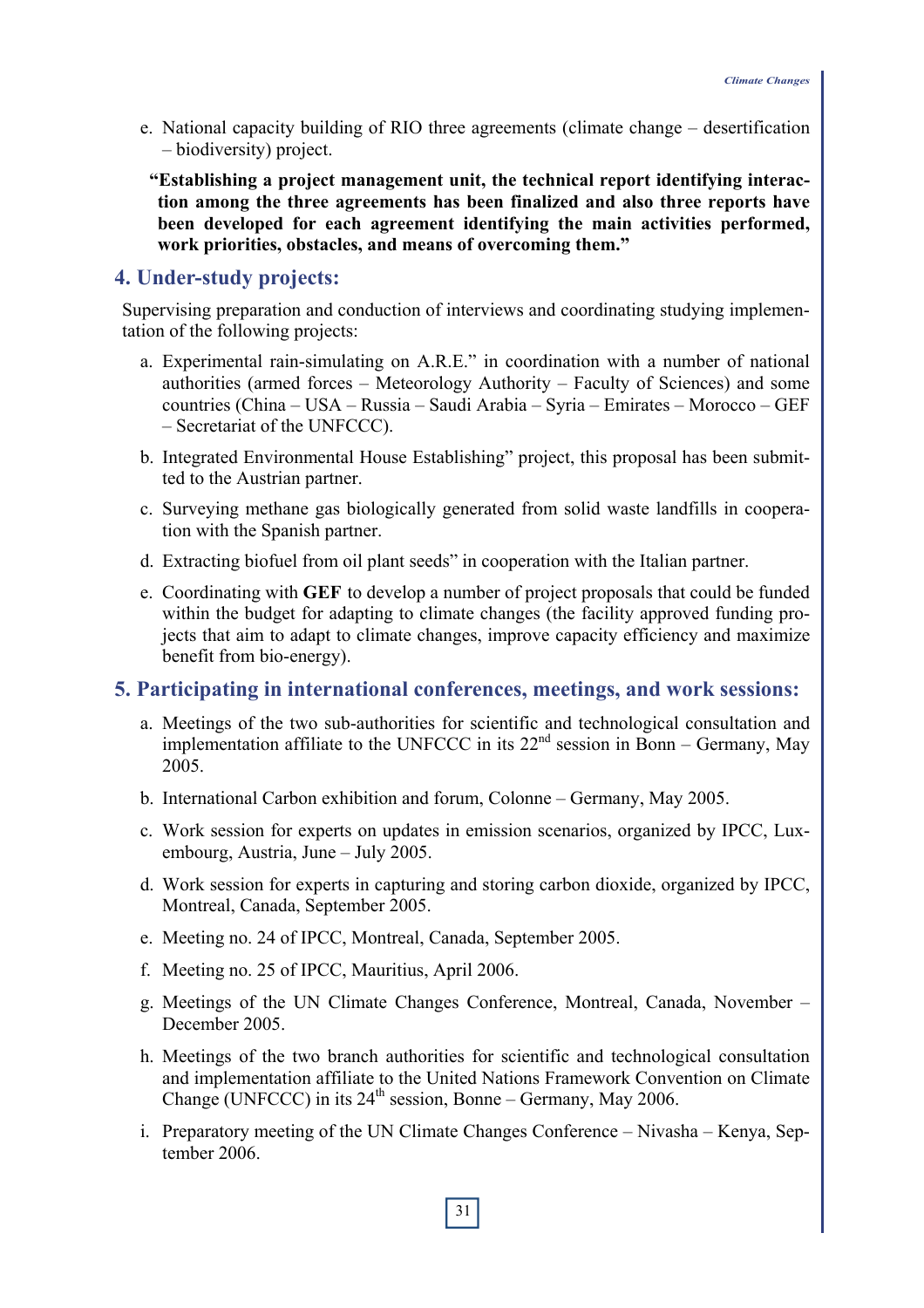- e. National capacity building of RIO three agreements (climate change desertification – biodiversity) project.
- **"Establishing a project management unit, the technical report identifying interaction among the three agreements has been finalized and also three reports have been developed for each agreement identifying the main activities performed, work priorities, obstacles, and means of overcoming them."**

#### **4. Under-study projects:**

Supervising preparation and conduction of interviews and coordinating studying implementation of the following projects:

- a. Experimental rain-simulating on A.R.E." in coordination with a number of national authorities (armed forces – Meteorology Authority – Faculty of Sciences) and some countries (China – USA – Russia – Saudi Arabia – Syria – Emirates – Morocco – GEF – Secretariat of the UNFCCC).
- b. Integrated Environmental House Establishing" project, this proposal has been submitted to the Austrian partner.
- c. Surveying methane gas biologically generated from solid waste landfills in cooperation with the Spanish partner.
- d. Extracting biofuel from oil plant seeds" in cooperation with the Italian partner.
- e. Coordinating with **GEF** to develop a number of project proposals that could be funded within the budget for adapting to climate changes (the facility approved funding projects that aim to adapt to climate changes, improve capacity efficiency and maximize benefit from bio-energy).

#### **5. Participating in international conferences, meetings, and work sessions:**

- a. Meetings of the two sub-authorities for scientific and technological consultation and implementation affiliate to the UNFCCC in its  $22<sup>nd</sup>$  session in Bonn – Germany, May 2005.
- b. International Carbon exhibition and forum, Colonne Germany, May 2005.
- c. Work session for experts on updates in emission scenarios, organized by IPCC, Luxembourg, Austria, June – July 2005.
- d. Work session for experts in capturing and storing carbon dioxide, organized by IPCC, Montreal, Canada, September 2005.
- e. Meeting no. 24 of IPCC, Montreal, Canada, September 2005.
- f. Meeting no. 25 of IPCC, Mauritius, April 2006.
- g. Meetings of the UN Climate Changes Conference, Montreal, Canada, November December 2005.
- h. Meetings of the two branch authorities for scientific and technological consultation and implementation affiliate to the United Nations Framework Convention on Climate Change (UNFCCC) in its  $24<sup>th</sup>$  session, Bonne – Germany, May 2006.
- i. Preparatory meeting of the UN Climate Changes Conference Nivasha Kenya, September 2006.